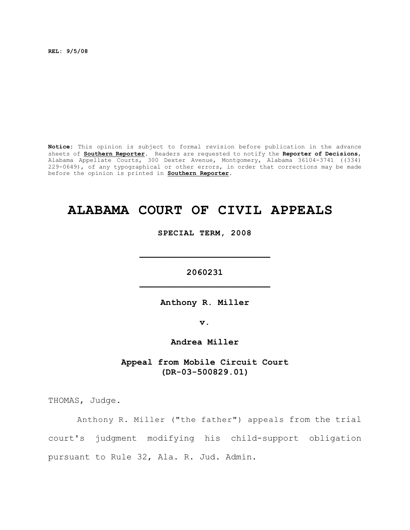**REL: 9/5/08**

**Notice:** This opinion is subject to formal revision before publication in the advance sheets of **Southern Reporter**. Readers are requested to notify the **Reporter of Decisions**, Alabama Appellate Courts, 300 Dexter Avenue, Montgomery, Alabama 36104-3741 ((334) 229-0649), of any typographical or other errors, in order that corrections may be made before the opinion is printed in **Southern Reporter**.

# **ALABAMA COURT OF CIVIL APPEALS**

**SPECIAL TERM, 2008**

**2060231 \_\_\_\_\_\_\_\_\_\_\_\_\_\_\_\_\_\_\_\_\_\_\_\_\_**

**\_\_\_\_\_\_\_\_\_\_\_\_\_\_\_\_\_\_\_\_\_\_\_\_\_**

**Anthony R. Miller**

**v.**

**Andrea Miller**

**Appeal from Mobile Circuit Court (DR-03-500829.01)**

THOMAS, Judge.

Anthony R. Miller ("the father") appeals from the trial court's judgment modifying his child-support obligation pursuant to Rule 32, Ala. R. Jud. Admin.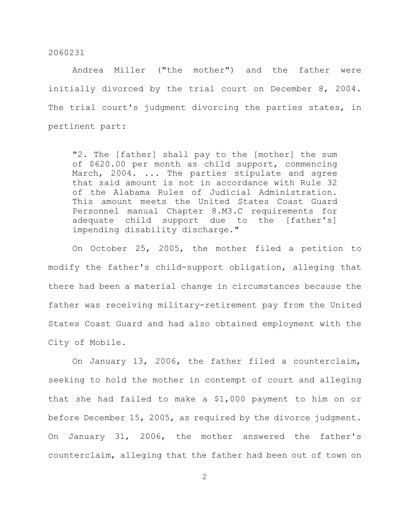Andrea Miller ("the mother") and the father were initially divorced by the trial court on December 8, 2004. The trial court's judgment divorcing the parties states, in pertinent part:

"2. The [father] shall pay to the [mother] the sum of \$620.00 per month as child support, commencing March, 2004. ... The parties stipulate and agree that said amount is not in accordance with Rule 32 of the Alabama Rules of Judicial Administration. This amount meets the United States Coast Guard Personnel manual Chapter 8.M3.C requirements for adequate child support due to the [father's] impending disability discharge."

On October 25, 2005, the mother filed a petition to modify the father's child-support obligation, alleging that there had been a material change in circumstances because the father was receiving military-retirement pay from the United States Coast Guard and had also obtained employment with the City of Mobile.

On January 13, 2006, the father filed a counterclaim, seeking to hold the mother in contempt of court and alleging that she had failed to make a \$1,000 payment to him on or before December 15, 2005, as required by the divorce judgment. On January 31, 2006, the mother answered the father's counterclaim, alleging that the father had been out of town on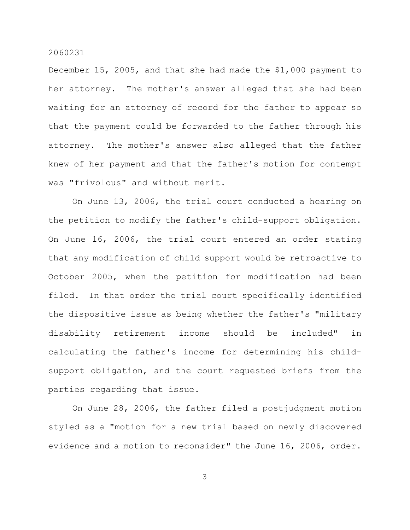December 15, 2005, and that she had made the \$1,000 payment to her attorney. The mother's answer alleged that she had been waiting for an attorney of record for the father to appear so that the payment could be forwarded to the father through his attorney. The mother's answer also alleged that the father knew of her payment and that the father's motion for contempt was "frivolous" and without merit.

On June 13, 2006, the trial court conducted a hearing on the petition to modify the father's child-support obligation. On June 16, 2006, the trial court entered an order stating that any modification of child support would be retroactive to October 2005, when the petition for modification had been filed. In that order the trial court specifically identified the dispositive issue as being whether the father's "military disability retirement income should be included" in calculating the father's income for determining his childsupport obligation, and the court requested briefs from the parties regarding that issue.

On June 28, 2006, the father filed a postjudgment motion styled as a "motion for a new trial based on newly discovered evidence and a motion to reconsider" the June 16, 2006, order.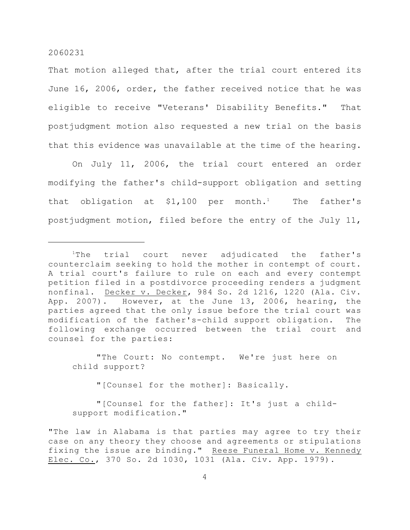That motion alleged that, after the trial court entered its June 16, 2006, order, the father received notice that he was eligible to receive "Veterans' Disability Benefits." That postjudgment motion also requested a new trial on the basis that this evidence was unavailable at the time of the hearing.

On July 11, 2006, the trial court entered an order modifying the father's child-support obligation and setting that obligation at  $$1,100$  per month.<sup>1</sup> The father's postjudgment motion, filed before the entry of the July 11,

"The Court: No contempt. We're just here on child support?

"[Counsel for the mother]: Basically.

"[Counsel for the father]: It's just a childsupport modification."

"The law in Alabama is that parties may agree to try their case on any theory they choose and agreements or stipulations fixing the issue are binding." Reese Funeral Home v. Kennedy Elec. Co., 370 So. 2d 1030, 1031 (Ala. Civ. App. 1979).

 $1$ The trial court never adjudicated the father's counterclaim seeking to hold the mother in contempt of court. A trial court's failure to rule on each and every contempt petition filed in a postdivorce proceeding renders a judgment nonfinal. Decker v. Decker, 984 So. 2d 1216, 1220 (Ala. Civ. App. 2007). However, at the June 13, 2006, hearing, the parties agreed that the only issue before the trial court was modification of the father's-child support obligation. The following exchange occurred between the trial court and counsel for the parties: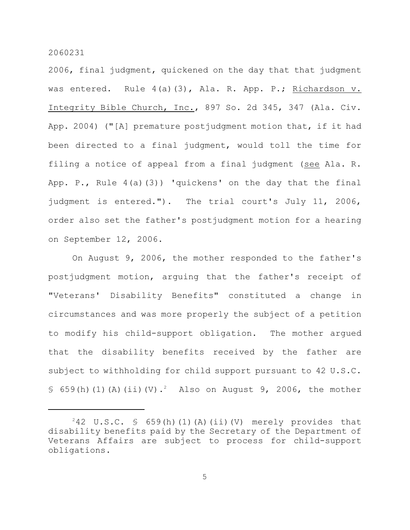2006, final judgment, quickened on the day that that judgment was entered. Rule 4(a)(3), Ala. R. App. P.; Richardson v. Integrity Bible Church, Inc., 897 So. 2d 345, 347 (Ala. Civ. App. 2004) ("[A] premature postjudgment motion that, if it had been directed to a final judgment, would toll the time for filing a notice of appeal from a final judgment (see Ala. R. App. P., Rule 4(a)(3)) 'quickens' on the day that the final judgment is entered."). The trial court's July 11, 2006, order also set the father's postjudgment motion for a hearing on September 12, 2006.

On August 9, 2006, the mother responded to the father's postjudgment motion, arguing that the father's receipt of "Veterans' Disability Benefits" constituted a change in circumstances and was more properly the subject of a petition to modify his child-support obligation. The mother argued that the disability benefits received by the father are subject to withholding for child support pursuant to 42 U.S.C. § 659(h)(1)(A)(ii)(V).<sup>2</sup> Also on August 9, 2006, the mother

 $242$  U.S.C. § 659(h)(1)(A)(ii)(V) merely provides that disability benefits paid by the Secretary of the Department of Veterans Affairs are subject to process for child-support obligations.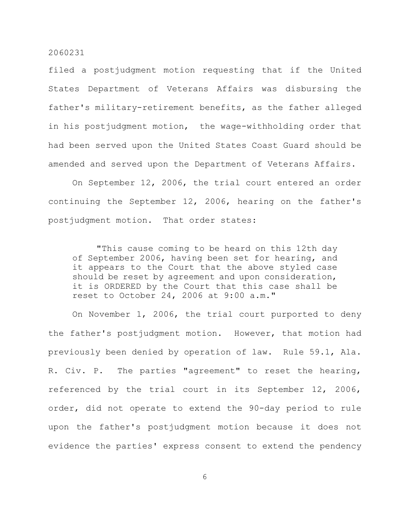filed a postjudgment motion requesting that if the United States Department of Veterans Affairs was disbursing the father's military-retirement benefits, as the father alleged in his postjudgment motion, the wage-withholding order that had been served upon the United States Coast Guard should be amended and served upon the Department of Veterans Affairs.

On September 12, 2006, the trial court entered an order continuing the September 12, 2006, hearing on the father's postjudgment motion. That order states:

"This cause coming to be heard on this 12th day of September 2006, having been set for hearing, and it appears to the Court that the above styled case should be reset by agreement and upon consideration, it is ORDERED by the Court that this case shall be reset to October 24, 2006 at 9:00 a.m."

On November 1, 2006, the trial court purported to deny the father's postjudgment motion. However, that motion had previously been denied by operation of law. Rule 59.1, Ala. R. Civ. P. The parties "agreement" to reset the hearing, referenced by the trial court in its September 12, 2006, order, did not operate to extend the 90-day period to rule upon the father's postjudgment motion because it does not evidence the parties' express consent to extend the pendency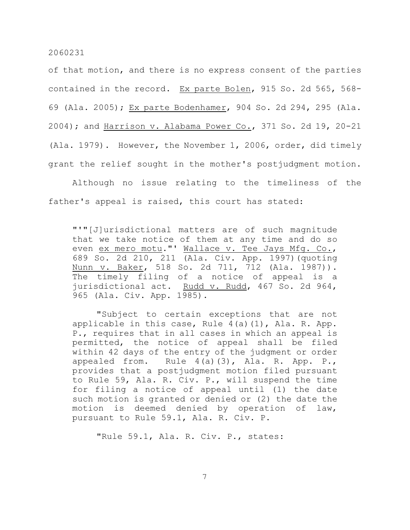of that motion, and there is no express consent of the parties contained in the record. Ex parte Bolen, 915 So. 2d 565, 568- 69 (Ala. 2005); Ex parte Bodenhamer, 904 So. 2d 294, 295 (Ala. 2004); and Harrison v. Alabama Power Co., 371 So. 2d 19, 20-21 (Ala. 1979). However, the November 1, 2006, order, did timely grant the relief sought in the mother's postjudgment motion.

Although no issue relating to the timeliness of the father's appeal is raised, this court has stated:

"'"[J]urisdictional matters are of such magnitude that we take notice of them at any time and do so even ex mero motu."' Wallace v. Tee Jays Mfg. Co., 689 So. 2d 210, 211 (Ala. Civ. App. 1997)(quoting Nunn v. Baker, 518 So. 2d 711, 712 (Ala. 1987)). The timely filing of a notice of appeal is a jurisdictional act. Rudd v. Rudd, 467 So. 2d 964, 965 (Ala. Civ. App. 1985).

"Subject to certain exceptions that are not applicable in this case, Rule 4(a)(1), Ala. R. App. P., requires that in all cases in which an appeal is permitted, the notice of appeal shall be filed within 42 days of the entry of the judgment or order appealed from. Rule  $4(a)(3)$ , Ala. R. App. P., provides that a postjudgment motion filed pursuant to Rule 59, Ala. R. Civ. P., will suspend the time for filing a notice of appeal until (1) the date such motion is granted or denied or (2) the date the motion is deemed denied by operation of law, pursuant to Rule 59.1, Ala. R. Civ. P.

"Rule 59.1, Ala. R. Civ. P., states: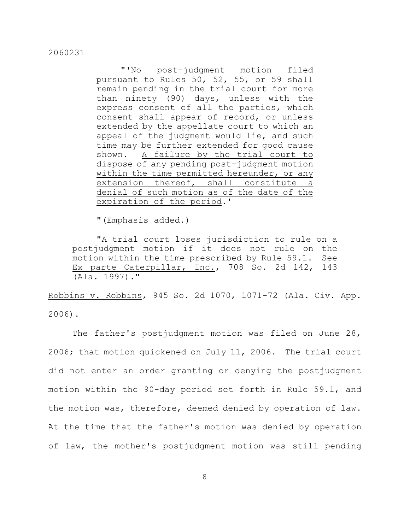"'No post-judgment motion filed pursuant to Rules 50, 52, 55, or 59 shall remain pending in the trial court for more than ninety (90) days, unless with the express consent of all the parties, which consent shall appear of record, or unless extended by the appellate court to which an appeal of the judgment would lie, and such time may be further extended for good cause shown. A failure by the trial court to dispose of any pending post-judgment motion within the time permitted hereunder, or any extension thereof, shall constitute a denial of such motion as of the date of the expiration of the period.'

"(Emphasis added.)

"A trial court loses jurisdiction to rule on a postjudgment motion if it does not rule on the motion within the time prescribed by Rule 59.1. See Ex parte Caterpillar, Inc., 708 So. 2d 142, 143 (Ala. 1997)."

Robbins v. Robbins, 945 So. 2d 1070, 1071-72 (Ala. Civ. App. 2006).

The father's postjudgment motion was filed on June 28, 2006; that motion quickened on July 11, 2006. The trial court did not enter an order granting or denying the postjudgment motion within the 90-day period set forth in Rule 59.1, and the motion was, therefore, deemed denied by operation of law. At the time that the father's motion was denied by operation of law, the mother's postjudgment motion was still pending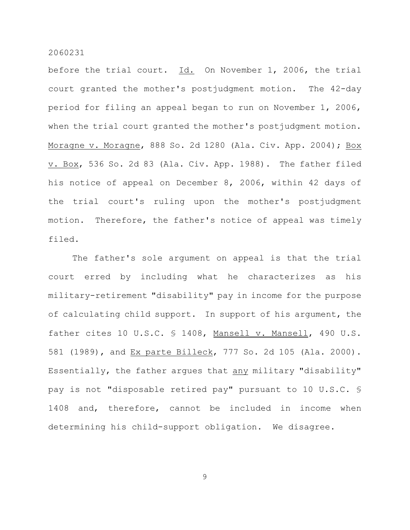before the trial court. Id. On November 1, 2006, the trial court granted the mother's postjudgment motion. The 42-day period for filing an appeal began to run on November 1, 2006, when the trial court granted the mother's postjudgment motion. Moragne v. Moragne, 888 So. 2d 1280 (Ala. Civ. App. 2004); Box v. Box, 536 So. 2d 83 (Ala. Civ. App. 1988). The father filed his notice of appeal on December 8, 2006, within 42 days of the trial court's ruling upon the mother's postjudgment motion. Therefore, the father's notice of appeal was timely filed.

The father's sole argument on appeal is that the trial court erred by including what he characterizes as his military-retirement "disability" pay in income for the purpose of calculating child support. In support of his argument, the father cites 10 U.S.C. § 1408, Mansell v. Mansell, 490 U.S. 581 (1989), and Ex parte Billeck, 777 So. 2d 105 (Ala. 2000). Essentially, the father argues that any military "disability" pay is not "disposable retired pay" pursuant to 10 U.S.C. § 1408 and, therefore, cannot be included in income when determining his child-support obligation. We disagree.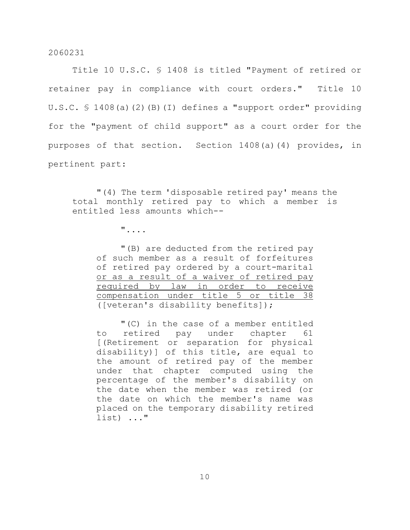Title 10 U.S.C. § 1408 is titled "Payment of retired or retainer pay in compliance with court orders." Title 10 U.S.C. § 1408(a)(2)(B)(I) defines a "support order" providing for the "payment of child support" as a court order for the purposes of that section. Section 1408(a)(4) provides, in pertinent part:

"(4) The term 'disposable retired pay' means the total monthly retired pay to which a member is entitled less amounts which--

"....

"(B) are deducted from the retired pay of such member as a result of forfeitures of retired pay ordered by a court-marital or as a result of a waiver of retired pay required by law in order to receive compensation under title 5 or title 38 ([veteran's disability benefits]);

"(C) in the case of a member entitled to retired pay under chapter 61 [(Retirement or separation for physical disability)] of this title, are equal to the amount of retired pay of the member under that chapter computed using the percentage of the member's disability on the date when the member was retired (or the date on which the member's name was placed on the temporary disability retired list) ..."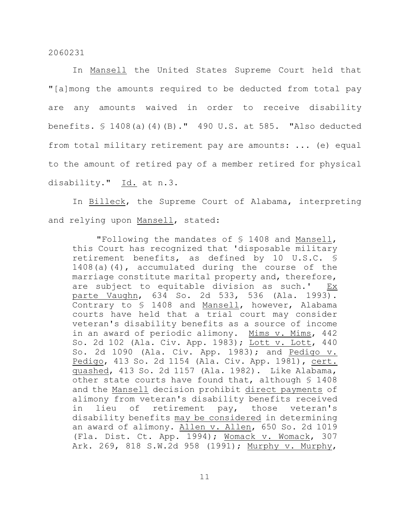In Mansell the United States Supreme Court held that "[a]mong the amounts required to be deducted from total pay are any amounts waived in order to receive disability benefits. § 1408(a)(4)(B)." 490 U.S. at 585. "Also deducted from total military retirement pay are amounts: ... (e) equal to the amount of retired pay of a member retired for physical disability." Id. at n.3.

In Billeck, the Supreme Court of Alabama, interpreting and relying upon Mansell, stated:

"Following the mandates of § 1408 and Mansell, this Court has recognized that 'disposable military retirement benefits, as defined by 10 U.S.C. § 1408(a)(4), accumulated during the course of the marriage constitute marital property and, therefore, are subject to equitable division as such.' Ex parte Vaughn, 634 So. 2d 533, 536 (Ala. 1993). Contrary to § 1408 and Mansell, however, Alabama courts have held that a trial court may consider veteran's disability benefits as a source of income in an award of periodic alimony. Mims v. Mims, 442 So. 2d 102 (Ala. Civ. App. 1983); Lott v. Lott, 440 So. 2d 1090 (Ala. Civ. App. 1983); and Pedigo v. Pedigo, 413 So. 2d 1154 (Ala. Civ. App. 1981), cert. quashed, 413 So. 2d 1157 (Ala. 1982). Like Alabama, other state courts have found that, although § 1408 and the Mansell decision prohibit direct payments of alimony from veteran's disability benefits received in lieu of retirement pay, those veteran's disability benefits may be considered in determining an award of alimony. Allen v. Allen, 650 So. 2d 1019 (Fla. Dist. Ct. App. 1994); Womack v. Womack, 307 Ark. 269, 818 S.W.2d 958 (1991); Murphy v. Murphy,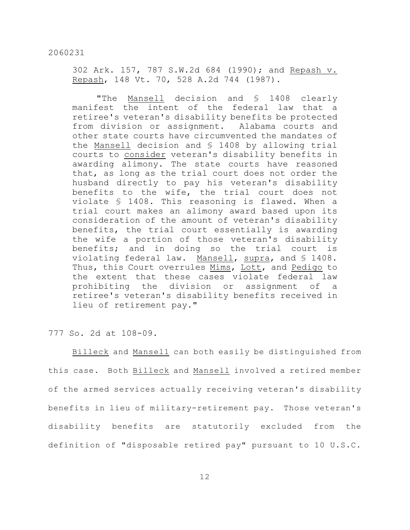302 Ark. 157, 787 S.W.2d 684 (1990); and Repash v. Repash, 148 Vt. 70, 528 A.2d 744 (1987).

"The Mansell decision and § 1408 clearly manifest the intent of the federal law that a retiree's veteran's disability benefits be protected from division or assignment. Alabama courts and other state courts have circumvented the mandates of the Mansell decision and § 1408 by allowing trial courts to consider veteran's disability benefits in awarding alimony. The state courts have reasoned that, as long as the trial court does not order the husband directly to pay his veteran's disability benefits to the wife, the trial court does not violate § 1408. This reasoning is flawed. When a trial court makes an alimony award based upon its consideration of the amount of veteran's disability benefits, the trial court essentially is awarding the wife a portion of those veteran's disability benefits; and in doing so the trial court is violating federal law. Mansell, supra, and § 1408. Thus, this Court overrules Mims, Lott, and Pedigo to the extent that these cases violate federal law prohibiting the division or assignment of a retiree's veteran's disability benefits received in lieu of retirement pay."

777 So. 2d at 108-09.

Billeck and Mansell can both easily be distinguished from this case. Both Billeck and Mansell involved a retired member of the armed services actually receiving veteran's disability benefits in lieu of military-retirement pay. Those veteran's disability benefits are statutorily excluded from the definition of "disposable retired pay" pursuant to 10 U.S.C.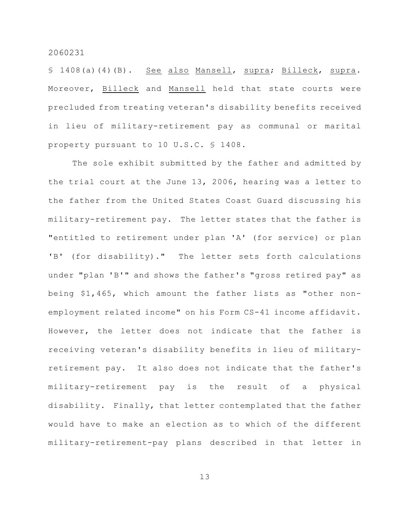§ 1408(a)(4)(B). See also Mansell, supra; Billeck, supra. Moreover, Billeck and Mansell held that state courts were precluded from treating veteran's disability benefits received in lieu of military-retirement pay as communal or marital property pursuant to 10 U.S.C. § 1408.

The sole exhibit submitted by the father and admitted by the trial court at the June 13, 2006, hearing was a letter to the father from the United States Coast Guard discussing his military-retirement pay. The letter states that the father is "entitled to retirement under plan 'A' (for service) or plan 'B' (for disability)." The letter sets forth calculations under "plan 'B'" and shows the father's "gross retired pay" as being \$1,465, which amount the father lists as "other nonemployment related income" on his Form CS-41 income affidavit. However, the letter does not indicate that the father is receiving veteran's disability benefits in lieu of militaryretirement pay. It also does not indicate that the father's military-retirement pay is the result of a physical disability. Finally, that letter contemplated that the father would have to make an election as to which of the different military-retirement-pay plans described in that letter in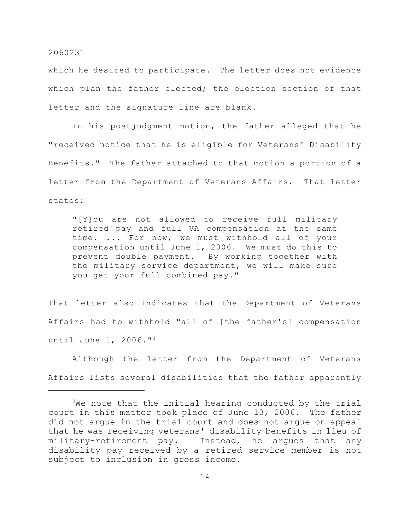which he desired to participate. The letter does not evidence which plan the father elected; the election section of that letter and the signature line are blank.

In his postjudgment motion, the father alleged that he "received notice that he is eligible for Veterans' Disability Benefits." The father attached to that motion a portion of a letter from the Department of Veterans Affairs. That letter states:

"[Y]ou are not allowed to receive full military retired pay and full VA compensation at the same time. ... For now, we must withhold all of your compensation until June 1, 2006. We must do this to prevent double payment. By working together with the military service department, we will make sure you get your full combined pay."

That letter also indicates that the Department of Veterans Affairs had to withhold "all of [the father's] compensation until June 1, 2006."<sup>3</sup>

Although the letter from the Department of Veterans Affairs lists several disabilities that the father apparently

 $3$ We note that the initial hearing conducted by the trial court in this matter took place of June 13, 2006. The father did not argue in the trial court and does not argue on appeal that he was receiving veterans' disability benefits in lieu of military-retirement pay. Instead, he argues that any disability pay received by a retired service member is not subject to inclusion in gross income.